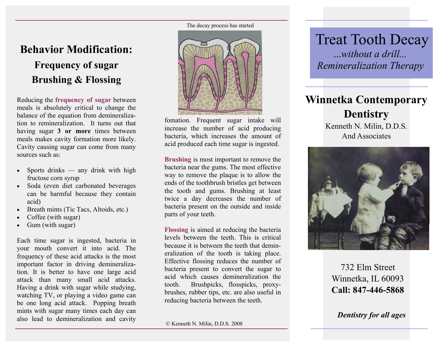# **Behavior Modification:**

# **Frequency of sugar Brushing & Flossing**

Reducing the **frequency of sugar** between meals is absolutely critical to change the balance of the equation from demineralization to remineralization. It turns out that having sugar **3 or more** times between meals makes cavity formation more likely. Cavity causing sugar can come from many sources such as:

- Sports drinks any drink with high fructose corn syrup
- Soda (even diet carbonated beverages can be harmful because they contain acid)
- Breath mints (Tic Tacs, Altoids, etc.)
- Coffee (with sugar)
- Gum (with sugar)

Each time sugar is ingested, bacteria in your mouth convert it into acid. The frequency of these acid attacks is the most important factor in driving demineralization. It is better to have one large acid attack than many small acid attacks. Having a drink with sugar while studying, watching TV, or playing a video game can be one long acid attack. Popping breath mints with sugar many times each day can also lead to demineralization and cavity

The decay process has started



fomation. Frequent sugar intake will increase the number of acid producing bacteria, which increases the amount of acid produced each time sugar is ingested.

**Brushing** is most important to remove the bacteria near the gums. The most effective way to remove the plaque is to allow the ends of the toothbrush bristles get between the tooth and gums. Brushing at least twice a day decreases the number of bacteria present on the outside and inside parts of your teeth.

**Flossing** is aimed at reducing the bacteria levels between the teeth. This is critical because it is between the teeth that demineralization of the tooth is taking place. Effective flossing reduces the number of bacteria present to convert the sugar to acid which causes demineralization the tooth. Brushpicks, flosspicks, proxybrushes, rubber tips, etc. are also useful in reducing bacteria between the teeth.

Treat Tooth Decay ...*without a drill... Remineralization Therapy*

# **Winnetka Contemporary Dentistry**  Kenneth N. Milin, D.D.S.

And Associates



732 Elm Street Winnetka, IL 60093 **Call: 847-446-5868**

*Dentistry for all ages*